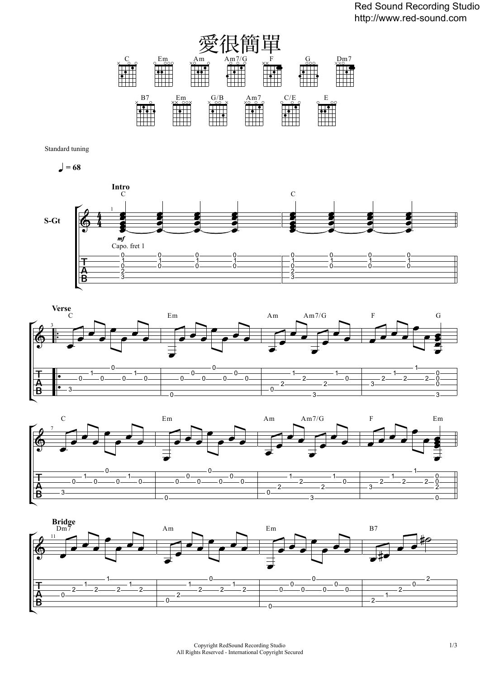

Standard tuning

 $\bullet$  = 68







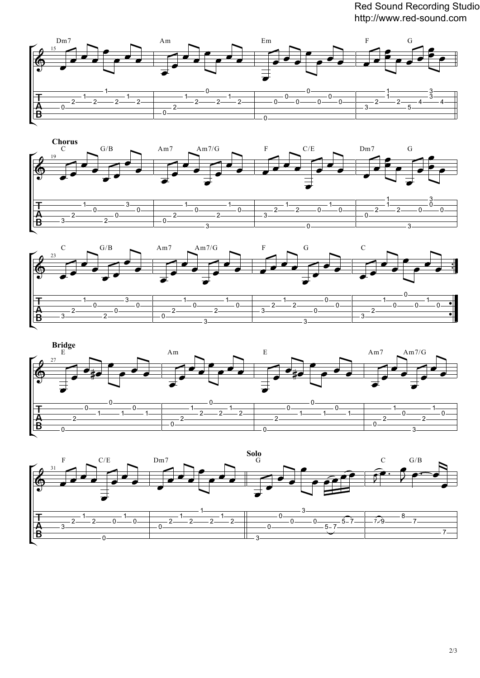Red Sound Recording Studio http://www.red-sound.com